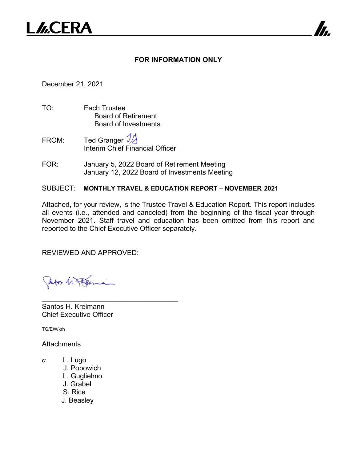

## **FOR INFORMATION ONLY**

7

December 21, 2021

- TO: Each Trustee Board of Retirement Board of Investments
- FROM: Ted Granger  $\mathcal{Y}$ Interim Chief Financial Officer
- FOR: January 5, 2022 Board of Retirement Meeting January 12, 2022 Board of Investments Meeting

SUBJECT: **MONTHLY TRAVEL & EDUCATION REPORT – NOVEMBER 2021**

Attached, for your review, is the Trustee Travel & Education Report. This report includes all events (i.e., attended and canceled) from the beginning of the fiscal year through November 2021. Staff travel and education has been omitted from this report and reported to the Chief Executive Officer separately.

REVIEWED AND APPROVED:

\_\_\_\_\_\_\_\_\_\_\_\_\_\_\_\_\_\_\_\_\_\_\_\_\_\_\_\_\_\_\_\_\_\_\_

Jator M. Flerina

Santos H. Kreimann Chief Executive Officer

TG/EW/krh

**Attachments** 

- c: L. Lugo
	- J. Popowich
	- L. Guglielmo
	- J. Grabel
	- S. Rice
	- J. Beasley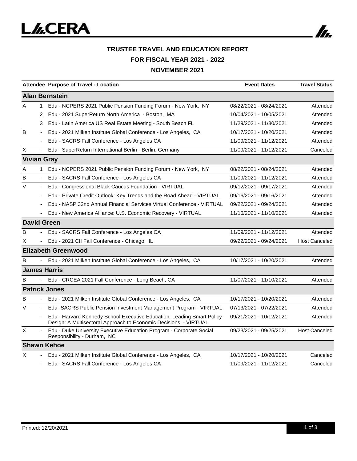

|                       |                          | Attendee Purpose of Travel - Location                                                                                                      | <b>Event Dates</b>      | <b>Travel Status</b> |  |  |  |
|-----------------------|--------------------------|--------------------------------------------------------------------------------------------------------------------------------------------|-------------------------|----------------------|--|--|--|
| <b>Alan Bernstein</b> |                          |                                                                                                                                            |                         |                      |  |  |  |
| A                     | 1.                       | Edu - NCPERS 2021 Public Pension Funding Forum - New York, NY                                                                              | 08/22/2021 - 08/24/2021 | Attended             |  |  |  |
|                       | 2                        | Edu - 2021 SuperReturn North America - Boston, MA                                                                                          | 10/04/2021 - 10/05/2021 | Attended             |  |  |  |
|                       | 3                        | Edu - Latin America US Real Estate Meeting - South Beach FL                                                                                | 11/29/2021 - 11/30/2021 | Attended             |  |  |  |
| B                     | $\blacksquare$           | Edu - 2021 Milken Institute Global Conference - Los Angeles, CA                                                                            | 10/17/2021 - 10/20/2021 | Attended             |  |  |  |
|                       |                          | Edu - SACRS Fall Conference - Los Angeles CA                                                                                               | 11/09/2021 - 11/12/2021 | Attended             |  |  |  |
| Χ                     |                          | Edu - SuperReturn International Berlin - Berlin, Germany                                                                                   | 11/09/2021 - 11/12/2021 | Canceled             |  |  |  |
|                       |                          | <b>Vivian Gray</b>                                                                                                                         |                         |                      |  |  |  |
| A                     | 1                        | Edu - NCPERS 2021 Public Pension Funding Forum - New York, NY                                                                              | 08/22/2021 - 08/24/2021 | Attended             |  |  |  |
| B                     |                          | Edu - SACRS Fall Conference - Los Angeles CA                                                                                               | 11/09/2021 - 11/12/2021 | Attended             |  |  |  |
| V                     | $\overline{\phantom{a}}$ | Edu - Congressional Black Caucus Foundation - VIRTUAL                                                                                      | 09/12/2021 - 09/17/2021 | Attended             |  |  |  |
|                       |                          | Edu - Private Credit Outlook: Key Trends and the Road Ahead - VIRTUAL                                                                      | 09/16/2021 - 09/16/2021 | Attended             |  |  |  |
|                       |                          | Edu - NASP 32nd Annual Financial Services Virtual Conference - VIRTUAL                                                                     | 09/22/2021 - 09/24/2021 | Attended             |  |  |  |
|                       |                          | Edu - New America Alliance: U.S. Economic Recovery - VIRTUAL                                                                               | 11/10/2021 - 11/10/2021 | Attended             |  |  |  |
|                       |                          | <b>David Green</b>                                                                                                                         |                         |                      |  |  |  |
| B                     | $\blacksquare$           | Edu - SACRS Fall Conference - Los Angeles CA                                                                                               | 11/09/2021 - 11/12/2021 | Attended             |  |  |  |
| X                     |                          | Edu - 2021 CII Fall Conference - Chicago, IL                                                                                               | 09/22/2021 - 09/24/2021 | <b>Host Canceled</b> |  |  |  |
|                       |                          | <b>Elizabeth Greenwood</b>                                                                                                                 |                         |                      |  |  |  |
| B                     |                          | Edu - 2021 Milken Institute Global Conference - Los Angeles, CA                                                                            | 10/17/2021 - 10/20/2021 | Attended             |  |  |  |
|                       |                          | <b>James Harris</b>                                                                                                                        |                         |                      |  |  |  |
| В                     |                          | Edu - CRCEA 2021 Fall Conference - Long Beach, CA                                                                                          | 11/07/2021 - 11/10/2021 | Attended             |  |  |  |
|                       |                          | <b>Patrick Jones</b>                                                                                                                       |                         |                      |  |  |  |
| B                     |                          | Edu - 2021 Milken Institute Global Conference - Los Angeles, CA                                                                            | 10/17/2021 - 10/20/2021 | Attended             |  |  |  |
| $\vee$                |                          | Edu -SACRS Public Pension Investment Management Program - VIRTUAL                                                                          | 07/13/2021 - 07/22/2021 | Attended             |  |  |  |
|                       |                          | Edu - Harvard Kennedy School Executive Education: Leading Smart Policy<br>Design: A Multisectoral Approach to Economic Decisions - VIRTUAL | 09/21/2021 - 10/12/2021 | Attended             |  |  |  |
| X                     |                          | Edu - Duke University Executive Education Program - Corporate Social<br>Responsibility - Durham, NC                                        | 09/23/2021 - 09/25/2021 | <b>Host Canceled</b> |  |  |  |
|                       |                          | <b>Shawn Kehoe</b>                                                                                                                         |                         |                      |  |  |  |
| X                     |                          | Edu - 2021 Milken Institute Global Conference - Los Angeles, CA                                                                            | 10/17/2021 - 10/20/2021 | Canceled             |  |  |  |
|                       |                          | Edu - SACRS Fall Conference - Los Angeles CA                                                                                               | 11/09/2021 - 11/12/2021 | Canceled             |  |  |  |

In.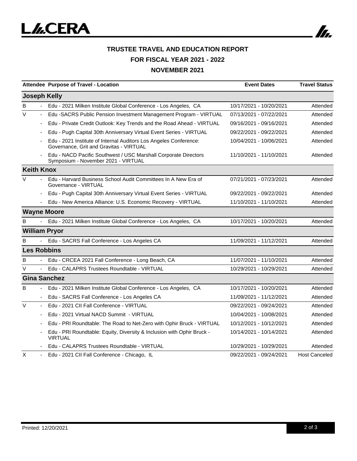

## **TRUSTEE TRAVEL AND EDUCATION REPORT FOR FISCAL YEAR 2021 - 2022 NOVEMBER 2021**

|                          | Attendee Purpose of Travel - Location                                                                        | <b>Event Dates</b>      | <b>Travel Status</b> |
|--------------------------|--------------------------------------------------------------------------------------------------------------|-------------------------|----------------------|
| <b>Joseph Kelly</b>      |                                                                                                              |                         |                      |
| B                        | Edu - 2021 Milken Institute Global Conference - Los Angeles, CA                                              | 10/17/2021 - 10/20/2021 | Attended             |
| $\vee$                   | Edu -SACRS Public Pension Investment Management Program - VIRTUAL                                            | 07/13/2021 - 07/22/2021 | Attended             |
|                          | Edu - Private Credit Outlook: Key Trends and the Road Ahead - VIRTUAL                                        | 09/16/2021 - 09/16/2021 | Attended             |
|                          | Edu - Pugh Capital 30th Anniversary Virtual Event Series - VIRTUAL                                           | 09/22/2021 - 09/22/2021 | Attended             |
|                          | Edu - 2021 Institute of Internal Auditors Los Angeles Conference:<br>Governance, Grit and Gravitas - VIRTUAL | 10/04/2021 - 10/06/2021 | Attended             |
|                          | Edu - NACD Pacific Southwest / USC Marshall Corporate Directors<br>Symposium - November 2021 - VIRTUAL       | 11/10/2021 - 11/10/2021 | Attended             |
| <b>Keith Knox</b>        |                                                                                                              |                         |                      |
| $\vee$                   | Edu - Harvard Business School Audit Committees In A New Era of<br>Governance - VIRTUAL                       | 07/21/2021 - 07/23/2021 | Attended             |
|                          | Edu - Pugh Capital 30th Anniversary Virtual Event Series - VIRTUAL                                           | 09/22/2021 - 09/22/2021 | Attended             |
|                          | Edu - New America Alliance: U.S. Economic Recovery - VIRTUAL                                                 | 11/10/2021 - 11/10/2021 | Attended             |
| <b>Wayne Moore</b>       |                                                                                                              |                         |                      |
| B                        | Edu - 2021 Milken Institute Global Conference - Los Angeles, CA                                              | 10/17/2021 - 10/20/2021 | Attended             |
| <b>William Pryor</b>     |                                                                                                              |                         |                      |
| B                        | Edu - SACRS Fall Conference - Los Angeles CA                                                                 | 11/09/2021 - 11/12/2021 | Attended             |
| <b>Les Robbins</b>       |                                                                                                              |                         |                      |
| B                        | Edu - CRCEA 2021 Fall Conference - Long Beach, CA                                                            | 11/07/2021 - 11/10/2021 | Attended             |
| V<br>$\blacksquare$      | Edu - CALAPRS Trustees Roundtable - VIRTUAL                                                                  | 10/29/2021 - 10/29/2021 | Attended             |
| <b>Gina Sanchez</b>      |                                                                                                              |                         |                      |
| B                        | Edu - 2021 Milken Institute Global Conference - Los Angeles, CA                                              | 10/17/2021 - 10/20/2021 | Attended             |
| $\overline{\phantom{a}}$ | Edu - SACRS Fall Conference - Los Angeles CA                                                                 | 11/09/2021 - 11/12/2021 | Attended             |
| $\vee$                   | Edu - 2021 CII Fall Conference - VIRTUAL                                                                     | 09/22/2021 - 09/24/2021 | Attended             |
|                          | Edu - 2021 Virtual NACD Summit - VIRTUAL                                                                     | 10/04/2021 - 10/08/2021 | Attended             |
|                          | Edu - PRI Roundtable: The Road to Net-Zero with Ophir Bruck - VIRTUAL                                        | 10/12/2021 - 10/12/2021 | Attended             |
|                          | Edu - PRI Roundtable: Equity, Diversity & Inclusion with Ophir Bruck -<br><b>VIRTUAL</b>                     | 10/14/2021 - 10/14/2021 | Attended             |
|                          | Edu - CALAPRS Trustees Roundtable - VIRTUAL                                                                  | 10/29/2021 - 10/29/2021 | Attended             |
| X                        | Edu - 2021 CII Fall Conference - Chicago, IL                                                                 | 09/22/2021 - 09/24/2021 | <b>Host Canceled</b> |